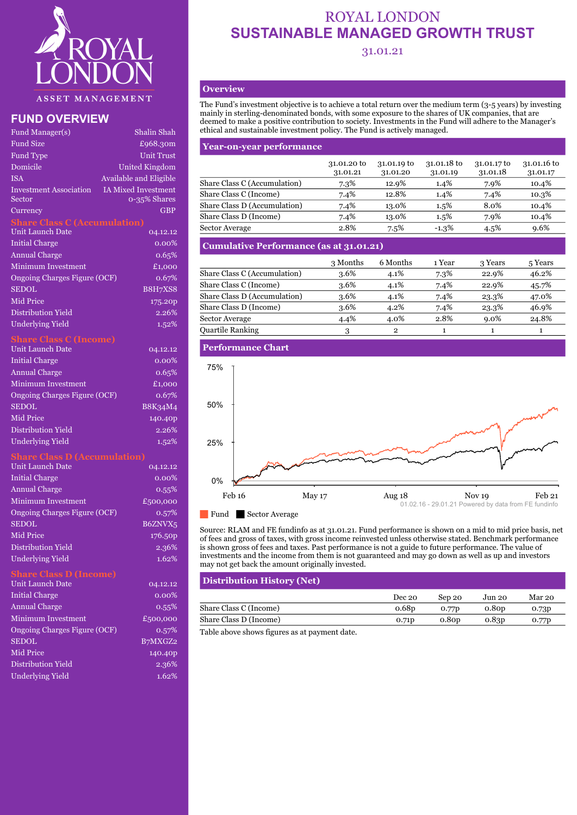

|                                         |                                            | accinca to make a positive contribution to society. Investments in the I and will ad |                         |                         |                         |         |
|-----------------------------------------|--------------------------------------------|--------------------------------------------------------------------------------------|-------------------------|-------------------------|-------------------------|---------|
| Fund Manager(s)                         | Shalin Shah                                | ethical and sustainable investment policy. The Fund is actively managed.             |                         |                         |                         |         |
| Fund Size                               | £968.30m                                   | <b>Year-on-year performance</b>                                                      |                         |                         |                         |         |
| Fund Type                               | <b>Unit Trust</b>                          |                                                                                      |                         |                         |                         |         |
| Domicile                                | <b>United Kingdom</b>                      |                                                                                      | 31.01.20 to<br>31.01.21 | 31.01.19 to<br>31.01.20 | 31.01.18 to<br>31.01.19 | 31<br>3 |
| <b>ISA</b>                              | Available and Eligible                     | Share Class C (Accumulation)                                                         | 7.3%                    | 12.9%                   | $1.4\%$                 |         |
| <b>Investment Association</b><br>Sector | <b>IA Mixed Investment</b><br>0-35% Shares | Share Class C (Income)                                                               | 7.4%                    | 12.8%                   | $1.4\%$                 |         |
| <b>Currency</b>                         | <b>GBP</b>                                 | Share Class D (Accumulation)                                                         | 7.4%                    | 13.0%                   | $1.5\%$                 |         |
| <b>Share Class C (Accumulation)</b>     |                                            | Share Class D (Income)                                                               | 7.4%                    | 13.0%                   | $1.5\%$                 |         |
| Unit Launch Date                        | 04.12.12                                   | <b>Sector Average</b>                                                                | 2.8%                    | $7.5\%$                 | $-1.3\%$                |         |
| <b>Initial Charge</b>                   | $0.00\%$                                   | <b>Cumulative Performance (as at 31.01.21)</b>                                       |                         |                         |                         |         |
| Annual Charge                           | 0.65%                                      |                                                                                      | 3 Months                | 6 Months                | 1 Year                  |         |
| Minimum Investment                      | £1,000                                     | $Chone$ $Oloc O$ (A <sub>equimulation</sub> )                                        | 0.60/                   | 4.10/                   | $=$ $0/$                |         |

| Minimum Investment           | £1,000         |                              |
|------------------------------|----------------|------------------------------|
| Ongoing Charges Figure (OCF) | 0.67%          | Share Class C (Accumulation) |
| <b>SEDOL</b>                 | <b>B8H7XS8</b> | Share Class C (Income)       |
|                              |                | Share Class D (Accumulation) |
| Mid Price                    | 175.20p        | Share Class D (Income)       |
| Distribution Yield           | 2.26%          | Sector Average               |
| Hndorlying Viold             | $1 - 0$        |                              |

### **Share Class C (Income)**

| <b>Unit Launch Date</b>      | 04.12.12 | <u>  Perf</u> ormance Chart |
|------------------------------|----------|-----------------------------|
| <b>Initial Charge</b>        | $0.00\%$ |                             |
| <b>Annual Charge</b>         | 0.65%    | 75%                         |
| Minimum Investment           | £1,000   |                             |
| Ongoing Charges Figure (OCF) | 0.67%    |                             |
| <b>SEDOL</b>                 | B8K34M4  | 50%                         |
| Mid Price                    | 140.40p  |                             |
| Distribution Yield           | 2.26%    |                             |
| <b>Underlying Yield</b>      | 1.52%    | 25%                         |

#### **Share Class D (Accumulation)**

| Unit Launch Date             | 04.12.12 | and the contract of the contract of the contract of the contract of the contract of the contract of the contract of the contract of the contract of the contract of the contract of the contract of the contract of the contra |
|------------------------------|----------|--------------------------------------------------------------------------------------------------------------------------------------------------------------------------------------------------------------------------------|
| Initial Charge               | $0.00\%$ | 0%                                                                                                                                                                                                                             |
| <b>Annual Charge</b>         | 0.55%    | Feb 16                                                                                                                                                                                                                         |
| <b>Minimum Investment</b>    | £500,000 | May 17                                                                                                                                                                                                                         |
| Ongoing Charges Figure (OCF) | 0.57%    | Fund  <br><b>Sector Average</b>                                                                                                                                                                                                |
| <b>SEDOL</b>                 | B6ZNVX5  |                                                                                                                                                                                                                                |
| Mid Price                    | 176.50p  | Source: RLAM and FE fundinfo as at 3<br>of fees and gross of taxes, with gross in                                                                                                                                              |
| Distribution Yield           | 2.36%    | is shown gross of fees and taxes. Past p                                                                                                                                                                                       |
| Underlying Yield             | 1.62%    | investments and the income from ther                                                                                                                                                                                           |

## **Share Class D (Income)**

| Unit Launch Date             | 04.12.12 | <b>DISITIBULION FILSIOFY (IVEL)</b>           |                   |
|------------------------------|----------|-----------------------------------------------|-------------------|
| <b>Initial Charge</b>        | $0.00\%$ |                                               | Dec 20            |
| <b>Annual Charge</b>         | $0.55\%$ | Share Class C (Income)                        | 0.68 <sub>D</sub> |
| Minimum Investment           | £500,000 | Share Class D (Income)                        | 0.71p             |
| Ongoing Charges Figure (OCF) | $0.57\%$ | Table above shows figures as at payment date. |                   |
| <b>SEDOL</b>                 | B7MXGZ2  |                                               |                   |
| Mid Price                    | 140.40p  |                                               |                   |
| Distribution Yield           | 2.36%    |                                               |                   |
| <b>Underlying Yield</b>      | 1.62%    |                                               |                   |
|                              |          |                                               |                   |

# ROYAL LONDON **SUSTAINABLE MANAGED GROWTH TRUST**

## 31.01.21

## **Overview**

**FUND OVERVIEW** deemed to make a positive contribution to society. Investments in the Fund will adhere to the Manager's Fund Manager(s) Shalin Shah ethical and sustainable investment policy. The Fund is actively managed. The Fund's investment objective is to achieve a total return over the medium term (3-5 years) by investing mainly in sterling-denominated bonds, with some exposure to the shares of UK companies, that are

| runa type-                        | Unit Trust                                 |                              |             |             |             |             |             |
|-----------------------------------|--------------------------------------------|------------------------------|-------------|-------------|-------------|-------------|-------------|
| Domicile                          | United Kingdom                             |                              | 31.01.20 to | 31.01.19 to | 31.01.18 to | 31.01.17 to | 31.01.16 to |
|                                   |                                            |                              | 31.01.21    | 31.01.20    | 31.01.19    | 31.01.18    | 31.01.17    |
| ISA                               | Available and Eligible                     | Share Class C (Accumulation) | 7.3%        | 12.9%       | $1.4\%$     | 7.9%        | 10.4%       |
| Investment Association'<br>Sector | <b>IA Mixed Investment</b><br>0-35% Shares | Share Class C (Income)       | 7.4%        | 12.8%       | 1.4%        | 7.4%        | 10.3%       |
| Currency                          | <b>GBP</b>                                 | Share Class D (Accumulation) | 7.4%        | 13.0%       | $1.5\%$     | 8.0%        | 10.4%       |
|                                   |                                            | Share Class D (Income)       | 7.4%        | 13.0%       | $1.5\%$     | 7.9%        | 10.4%       |
| Unit Launch Date                  | 04.12.12                                   | Sector Average               | 2.8%        | 7.5%        | $-1.3%$     | 4.5%        | 9.6%        |
|                                   |                                            |                              |             |             |             |             |             |

## Initial Charge **Cumulative Performance (as at 31.01.21) Cumulative Performance (as at 31.01.21)**

| mundu viidige                       | $\mathbf{0.01}$ |                              |          |          |        |         |         |
|-------------------------------------|-----------------|------------------------------|----------|----------|--------|---------|---------|
| Minimum Investment                  | £1,000          |                              | 3 Months | 6 Months | ∣ Year | 3 Years | 5 Years |
| <b>Ongoing Charges Figure (OCF)</b> | 0.67%           | Share Class C (Accumulation) | 3.6%     | 4.1%     | 7.3%   | 22.9%   | 46.2%   |
| <b>SEDOL</b>                        | <b>B8H7XS8</b>  | Share Class C (Income)       | 3.6%     | 4.1%     | 7.4%   | 22.9%   | 45.7%   |
| Mid Price                           |                 | Share Class D (Accumulation) | 3.6%     | 4.1%     | 7.4%   | 23.3%   | 47.0%   |
|                                     | 175.20p         | Share Class D (Income)       | 3.6%     | 4.2%     | 7.4%   | 23.3%   | 46.9%   |
| Distribution Yield                  | 2.26%           | Sector Average               | 4.4%     | 4.0%     | 2.8%   | $9.0\%$ | 24.8%   |
| Underlying Yield                    | $1.52\%$        | <b>Quartile Ranking</b>      |          | ີ        |        |         |         |
|                                     |                 |                              |          |          |        |         |         |



SEDOL B6ZNVX5<br>Source: RLAM and FE fundinfo as at 31.01.21. Fund performance is shown on a mid to mid price basis, net Mid Price 176.50p of fees and gross of taxes, with gross income reinvested unless otherwise stated. Benchmark performance Distribution Yield 2.36% is shown gross of fees and taxes. Past performance is not a guide to future performance. The value of Underlying Yield 1.62% investments and the income from them is not guaranteed and may go down as well as up and investors may not get back the amount originally invested.

# Unit Launch Date 04.12.12 **Distribution History (Net)**

| <b>Initial Charge</b> | $0.00\%$ |                        | Dec 20            | Sep 20            | Jun 20 | Mar 20 |
|-----------------------|----------|------------------------|-------------------|-------------------|--------|--------|
| <b>Annual Charge</b>  | $0.55\%$ | Share Class C (Income) | 0.68p             | 0.77 <sub>D</sub> | 0.80p  | 0.73p  |
| Minimum Investment    | £500,000 | Share Class D (Income) | 0.71 <sub>p</sub> | 0.80p             | 0.83p  | 0.77p  |